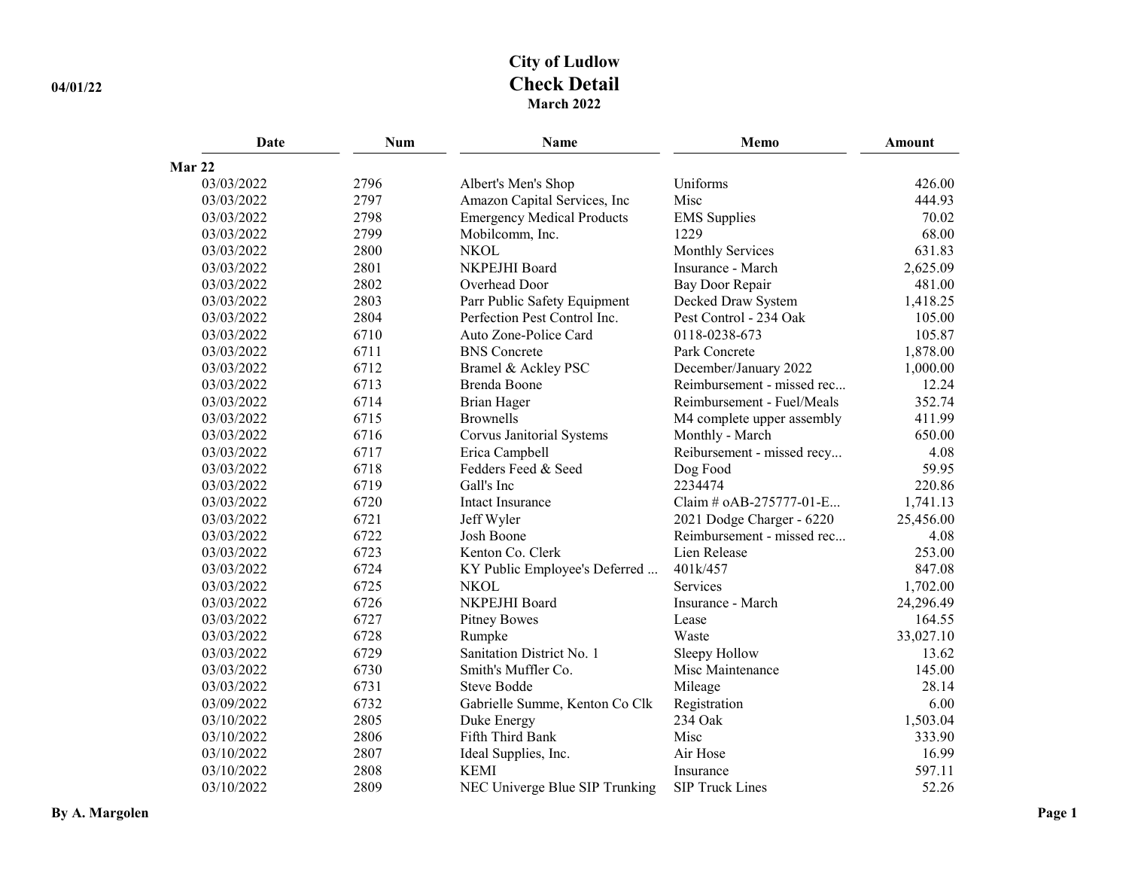| <b>Date</b> | <b>Num</b> | <b>Name</b>                       | Memo                       | <b>Amount</b> |
|-------------|------------|-----------------------------------|----------------------------|---------------|
| Mar 22      |            |                                   |                            |               |
| 03/03/2022  | 2796       | Albert's Men's Shop               | Uniforms                   | 426.00        |
| 03/03/2022  | 2797       | Amazon Capital Services, Inc      | Misc                       | 444.93        |
| 03/03/2022  | 2798       | <b>Emergency Medical Products</b> | <b>EMS</b> Supplies        | 70.02         |
| 03/03/2022  | 2799       | Mobilcomm, Inc.                   | 1229                       | 68.00         |
| 03/03/2022  | 2800       | <b>NKOL</b>                       | <b>Monthly Services</b>    | 631.83        |
| 03/03/2022  | 2801       | NKPEJHI Board                     | Insurance - March          | 2,625.09      |
| 03/03/2022  | 2802       | Overhead Door                     | Bay Door Repair            | 481.00        |
| 03/03/2022  | 2803       | Parr Public Safety Equipment      | Decked Draw System         | 1,418.25      |
| 03/03/2022  | 2804       | Perfection Pest Control Inc.      | Pest Control - 234 Oak     | 105.00        |
| 03/03/2022  | 6710       | Auto Zone-Police Card             | 0118-0238-673              | 105.87        |
| 03/03/2022  | 6711       | <b>BNS</b> Concrete               | Park Concrete              | 1,878.00      |
| 03/03/2022  | 6712       | Bramel & Ackley PSC               | December/January 2022      | 1,000.00      |
| 03/03/2022  | 6713       | Brenda Boone                      | Reimbursement - missed rec | 12.24         |
| 03/03/2022  | 6714       | <b>Brian Hager</b>                | Reimbursement - Fuel/Meals | 352.74        |
| 03/03/2022  | 6715       | <b>Brownells</b>                  | M4 complete upper assembly | 411.99        |
| 03/03/2022  | 6716       | Corvus Janitorial Systems         | Monthly - March            | 650.00        |
| 03/03/2022  | 6717       | Erica Campbell                    | Reibursement - missed recy | 4.08          |
| 03/03/2022  | 6718       | Fedders Feed & Seed               | Dog Food                   | 59.95         |
| 03/03/2022  | 6719       | Gall's Inc                        | 2234474                    | 220.86        |
| 03/03/2022  | 6720       | Intact Insurance                  | Claim # oAB-275777-01-E    | 1,741.13      |
| 03/03/2022  | 6721       | Jeff Wyler                        | 2021 Dodge Charger - 6220  | 25,456.00     |
| 03/03/2022  | 6722       | Josh Boone                        | Reimbursement - missed rec | 4.08          |
| 03/03/2022  | 6723       | Kenton Co. Clerk                  | Lien Release               | 253.00        |
| 03/03/2022  | 6724       | KY Public Employee's Deferred     | 401k/457                   | 847.08        |
| 03/03/2022  | 6725       | <b>NKOL</b>                       | Services                   | 1,702.00      |
| 03/03/2022  | 6726       | NKPEJHI Board                     | Insurance - March          | 24,296.49     |
| 03/03/2022  | 6727       | <b>Pitney Bowes</b>               | Lease                      | 164.55        |
| 03/03/2022  | 6728       | Rumpke                            | Waste                      | 33,027.10     |
| 03/03/2022  | 6729       | Sanitation District No. 1         | Sleepy Hollow              | 13.62         |
| 03/03/2022  | 6730       | Smith's Muffler Co.               | Misc Maintenance           | 145.00        |
| 03/03/2022  | 6731       | <b>Steve Bodde</b>                | Mileage                    | 28.14         |
| 03/09/2022  | 6732       | Gabrielle Summe, Kenton Co Clk    | Registration               | 6.00          |
| 03/10/2022  | 2805       | Duke Energy                       | 234 Oak                    | 1,503.04      |
| 03/10/2022  | 2806       | Fifth Third Bank                  | Misc                       | 333.90        |
| 03/10/2022  | 2807       | Ideal Supplies, Inc.              | Air Hose                   | 16.99         |
| 03/10/2022  | 2808       | <b>KEMI</b>                       | Insurance                  | 597.11        |
| 03/10/2022  | 2809       | NEC Univerge Blue SIP Trunking    | <b>SIP Truck Lines</b>     | 52.26         |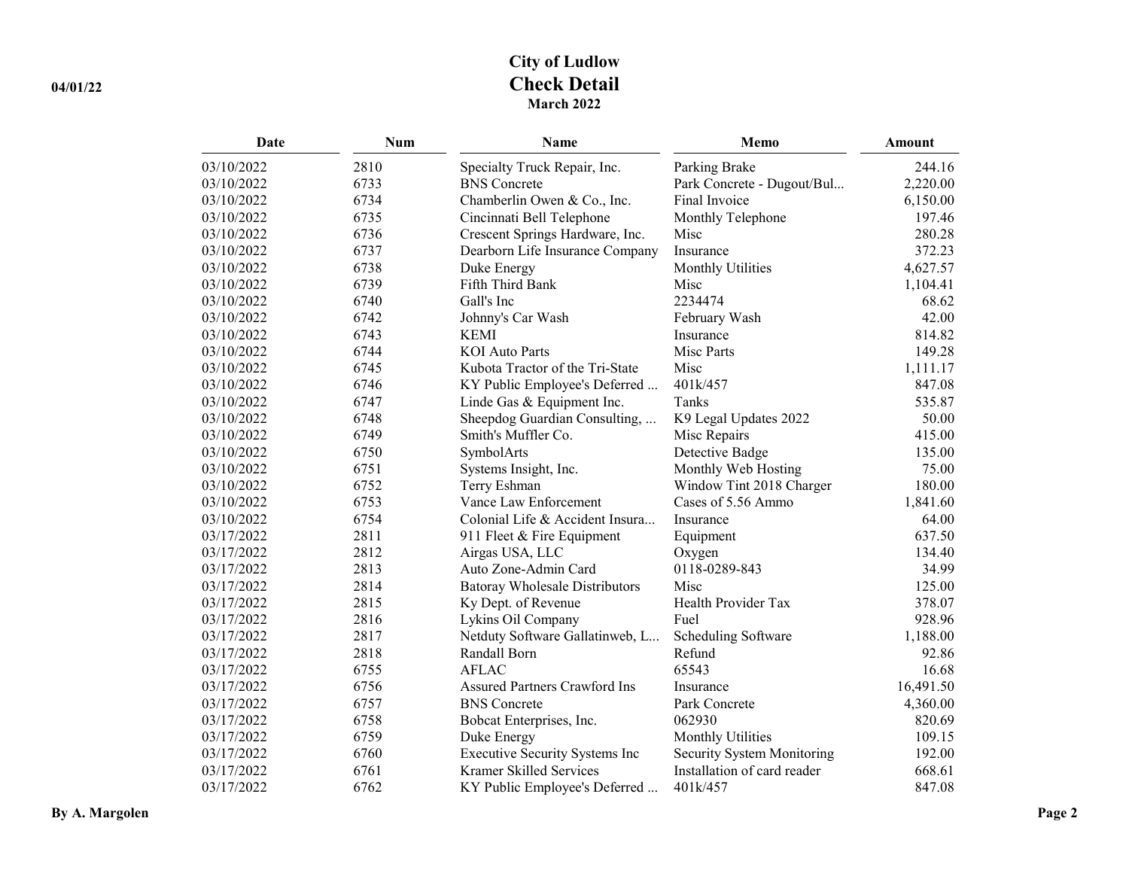| Date       | Num  | Name                                  | Memo                        | <b>Amount</b> |
|------------|------|---------------------------------------|-----------------------------|---------------|
| 03/10/2022 | 2810 | Specialty Truck Repair, Inc.          | Parking Brake               | 244.16        |
| 03/10/2022 | 6733 | <b>BNS</b> Concrete                   | Park Concrete - Dugout/Bul  | 2,220.00      |
| 03/10/2022 | 6734 | Chamberlin Owen & Co., Inc.           | Final Invoice               | 6,150.00      |
| 03/10/2022 | 6735 | Cincinnati Bell Telephone             | Monthly Telephone           | 197.46        |
| 03/10/2022 | 6736 | Crescent Springs Hardware, Inc.       | Misc                        | 280.28        |
| 03/10/2022 | 6737 | Dearborn Life Insurance Company       | Insurance                   | 372.23        |
| 03/10/2022 | 6738 | Duke Energy                           | Monthly Utilities           | 4,627.57      |
| 03/10/2022 | 6739 | Fifth Third Bank                      | Misc                        | 1,104.41      |
| 03/10/2022 | 6740 | Gall's Inc                            | 2234474                     | 68.62         |
| 03/10/2022 | 6742 | Johnny's Car Wash                     | February Wash               | 42.00         |
| 03/10/2022 | 6743 | <b>KEMI</b>                           | Insurance                   | 814.82        |
| 03/10/2022 | 6744 | <b>KOI</b> Auto Parts                 | Misc Parts                  | 149.28        |
| 03/10/2022 | 6745 | Kubota Tractor of the Tri-State       | Misc                        | 1,111.17      |
| 03/10/2022 | 6746 | KY Public Employee's Deferred         | 401k/457                    | 847.08        |
| 03/10/2022 | 6747 | Linde Gas & Equipment Inc.            | Tanks                       | 535.87        |
| 03/10/2022 | 6748 | Sheepdog Guardian Consulting,         | K9 Legal Updates 2022       | 50.00         |
| 03/10/2022 | 6749 | Smith's Muffler Co.                   | Misc Repairs                | 415.00        |
| 03/10/2022 | 6750 | SymbolArts                            | Detective Badge             | 135.00        |
| 03/10/2022 | 6751 | Systems Insight, Inc.                 | Monthly Web Hosting         | 75.00         |
| 03/10/2022 | 6752 | Terry Eshman                          | Window Tint 2018 Charger    | 180.00        |
| 03/10/2022 | 6753 | Vance Law Enforcement                 | Cases of 5.56 Ammo          | 1,841.60      |
| 03/10/2022 | 6754 | Colonial Life & Accident Insura       | Insurance                   | 64.00         |
| 03/17/2022 | 2811 | 911 Fleet & Fire Equipment            | Equipment                   | 637.50        |
| 03/17/2022 | 2812 | Airgas USA, LLC                       | Oxygen                      | 134.40        |
| 03/17/2022 | 2813 | Auto Zone-Admin Card                  | 0118-0289-843               | 34.99         |
| 03/17/2022 | 2814 | <b>Batoray Wholesale Distributors</b> | Misc                        | 125.00        |
| 03/17/2022 | 2815 | Ky Dept. of Revenue                   | Health Provider Tax         | 378.07        |
| 03/17/2022 | 2816 | Lykins Oil Company                    | Fuel                        | 928.96        |
| 03/17/2022 | 2817 | Netduty Software Gallatinweb, L       | Scheduling Software         | 1,188.00      |
| 03/17/2022 | 2818 | Randall Born                          | Refund                      | 92.86         |
| 03/17/2022 | 6755 | <b>AFLAC</b>                          | 65543                       | 16.68         |
| 03/17/2022 | 6756 | Assured Partners Crawford Ins         | Insurance                   | 16,491.50     |
| 03/17/2022 | 6757 | <b>BNS</b> Concrete                   | Park Concrete               | 4,360.00      |
| 03/17/2022 | 6758 | Bobcat Enterprises, Inc.              | 062930                      | 820.69        |
| 03/17/2022 | 6759 | Duke Energy                           | Monthly Utilities           | 109.15        |
| 03/17/2022 | 6760 | Executive Security Systems Inc        | Security System Monitoring  | 192.00        |
| 03/17/2022 | 6761 | Kramer Skilled Services               | Installation of card reader | 668.61        |
| 03/17/2022 | 6762 | KY Public Employee's Deferred         | 401k/457                    | 847.08        |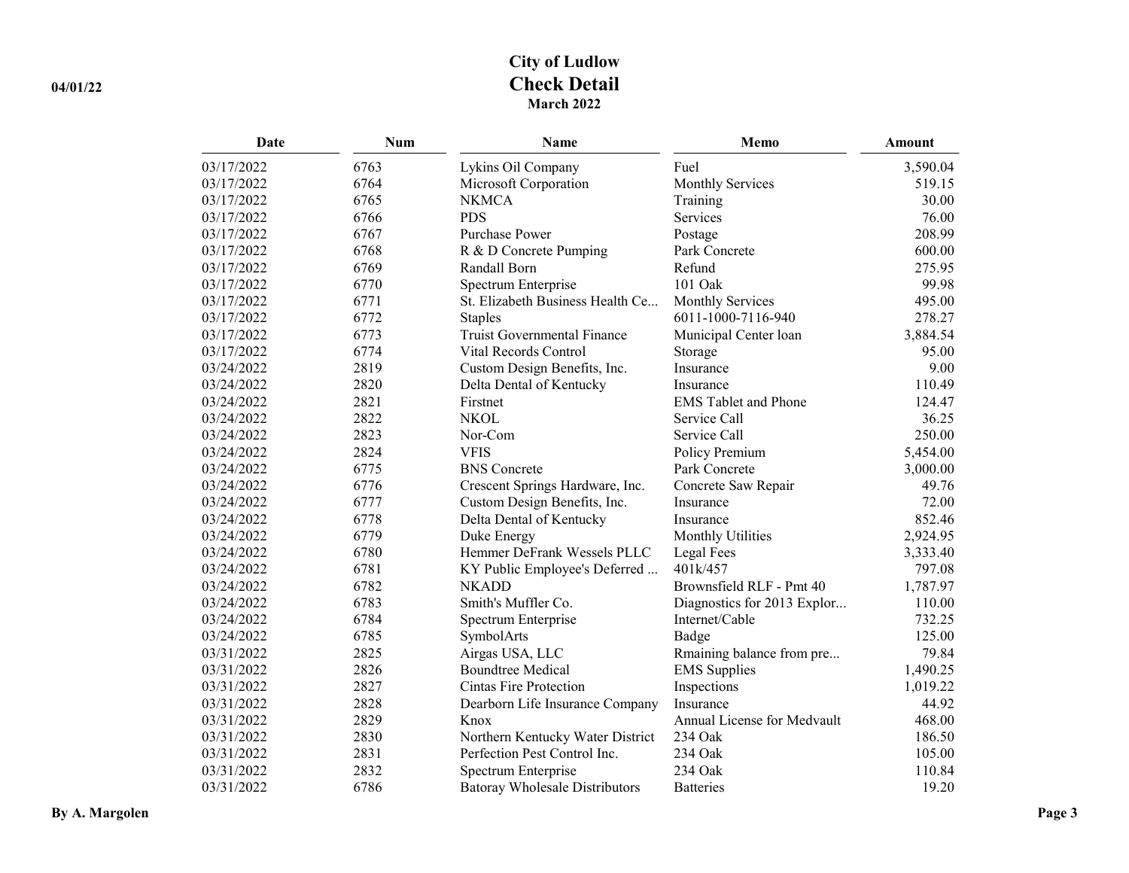| Date       | Num  | Name                                  | Memo                        | <b>Amount</b> |
|------------|------|---------------------------------------|-----------------------------|---------------|
| 03/17/2022 | 6763 | Lykins Oil Company                    | Fuel                        | 3,590.04      |
| 03/17/2022 | 6764 | Microsoft Corporation                 | <b>Monthly Services</b>     | 519.15        |
| 03/17/2022 | 6765 | <b>NKMCA</b>                          | Training                    | 30.00         |
| 03/17/2022 | 6766 | <b>PDS</b>                            | Services                    | 76.00         |
| 03/17/2022 | 6767 | <b>Purchase Power</b>                 | Postage                     | 208.99        |
| 03/17/2022 | 6768 | R & D Concrete Pumping                | Park Concrete               | 600.00        |
| 03/17/2022 | 6769 | Randall Born                          | Refund                      | 275.95        |
| 03/17/2022 | 6770 | Spectrum Enterprise                   | 101 Oak                     | 99.98         |
| 03/17/2022 | 6771 | St. Elizabeth Business Health Ce      | Monthly Services            | 495.00        |
| 03/17/2022 | 6772 | <b>Staples</b>                        | 6011-1000-7116-940          | 278.27        |
| 03/17/2022 | 6773 | Truist Governmental Finance           | Municipal Center loan       | 3,884.54      |
| 03/17/2022 | 6774 | Vital Records Control                 | Storage                     | 95.00         |
| 03/24/2022 | 2819 | Custom Design Benefits, Inc.          | Insurance                   | 9.00          |
| 03/24/2022 | 2820 | Delta Dental of Kentucky              | Insurance                   | 110.49        |
| 03/24/2022 | 2821 | Firstnet                              | <b>EMS</b> Tablet and Phone | 124.47        |
| 03/24/2022 | 2822 | <b>NKOL</b>                           | Service Call                | 36.25         |
| 03/24/2022 | 2823 | Nor-Com                               | Service Call                | 250.00        |
| 03/24/2022 | 2824 | <b>VFIS</b>                           | Policy Premium              | 5,454.00      |
| 03/24/2022 | 6775 | <b>BNS</b> Concrete                   | Park Concrete               | 3,000.00      |
| 03/24/2022 | 6776 | Crescent Springs Hardware, Inc.       | Concrete Saw Repair         | 49.76         |
| 03/24/2022 | 6777 | Custom Design Benefits, Inc.          | Insurance                   | 72.00         |
| 03/24/2022 | 6778 | Delta Dental of Kentucky              | Insurance                   | 852.46        |
| 03/24/2022 | 6779 | Duke Energy                           | Monthly Utilities           | 2,924.95      |
| 03/24/2022 | 6780 | Hemmer DeFrank Wessels PLLC           | Legal Fees                  | 3,333.40      |
| 03/24/2022 | 6781 | KY Public Employee's Deferred         | 401k/457                    | 797.08        |
| 03/24/2022 | 6782 | <b>NKADD</b>                          | Brownsfield RLF - Pmt 40    | 1,787.97      |
| 03/24/2022 | 6783 | Smith's Muffler Co.                   | Diagnostics for 2013 Explor | 110.00        |
| 03/24/2022 | 6784 | Spectrum Enterprise                   | Internet/Cable              | 732.25        |
| 03/24/2022 | 6785 | SymbolArts                            | Badge                       | 125.00        |
| 03/31/2022 | 2825 | Airgas USA, LLC                       | Rmaining balance from pre   | 79.84         |
| 03/31/2022 | 2826 | <b>Boundtree Medical</b>              | <b>EMS</b> Supplies         | 1,490.25      |
| 03/31/2022 | 2827 | <b>Cintas Fire Protection</b>         | Inspections                 | 1,019.22      |
| 03/31/2022 | 2828 | Dearborn Life Insurance Company       | Insurance                   | 44.92         |
| 03/31/2022 | 2829 | Knox                                  | Annual License for Medvault | 468.00        |
| 03/31/2022 | 2830 | Northern Kentucky Water District      | 234 Oak                     | 186.50        |
| 03/31/2022 | 2831 | Perfection Pest Control Inc.          | 234 Oak                     | 105.00        |
| 03/31/2022 | 2832 | Spectrum Enterprise                   | 234 Oak                     | 110.84        |
| 03/31/2022 | 6786 | <b>Batoray Wholesale Distributors</b> | <b>Batteries</b>            | 19.20         |